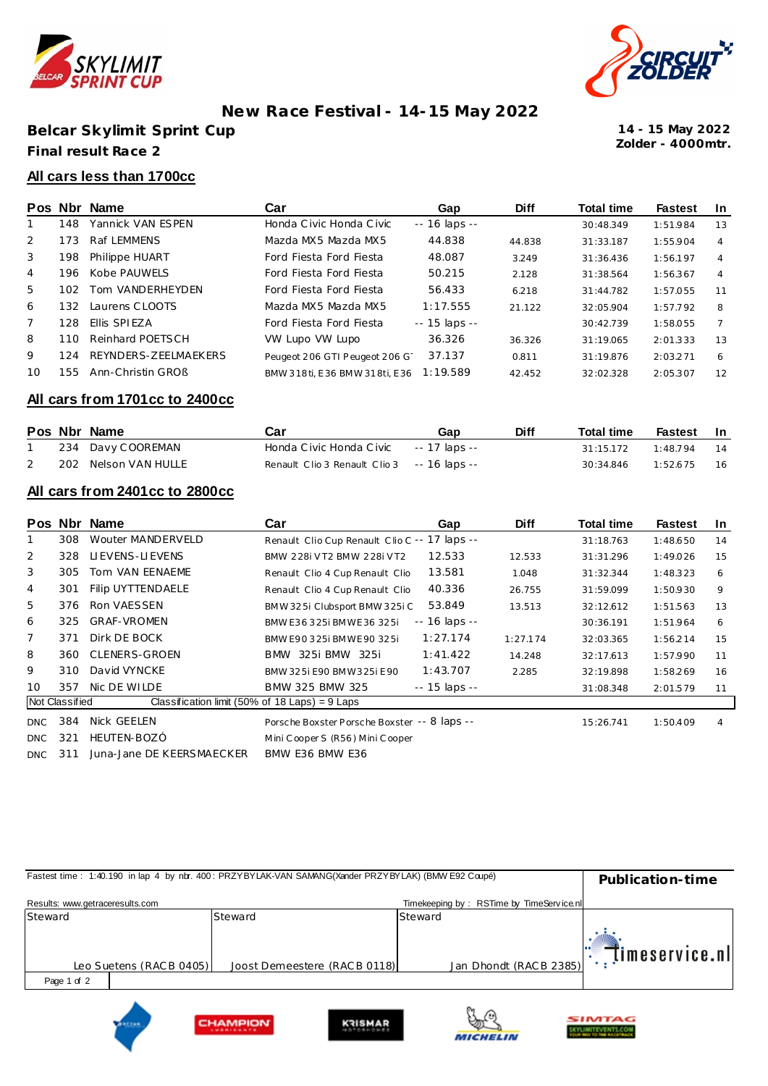

# **New Race Festival - 14-15 May 2022**

**Belcar Skylimit Sprint Cup Final result Race 2**



**Zolder - 4000mtr. 14 - 15 May 2022**

#### **All cars less than 1700cc**

|       | Pos Nbr | Name                 | Car                           | Gap            | <b>Diff</b> | <b>Total time</b> | <b>Fastest</b> | -In            |
|-------|---------|----------------------|-------------------------------|----------------|-------------|-------------------|----------------|----------------|
|       | 148     | Yannick VAN ESPEN    | Honda Civic Honda Civic       | -- 16 laps --  |             | 30:48.349         | 1:51.984       | 13             |
| 2     | 173     | Raf LEMMENS          | Mazda MX5 Mazda MX5           | 44.838         | 44.838      | 31:33.187         | 1:55.904       | 4              |
| 3     | 198     | Philippe HUART       | Ford Fiesta Ford Fiesta       | 48.087         | 3.249       | 31:36.436         | 1:56.197       | 4              |
| 4     | 196     | Kobe PAUWELS         | Ford Fiesta Ford Fiesta       | 50.215         | 2.128       | 31:38.564         | 1:56.367       | 4              |
| $5 -$ | 102     | Tom VANDERHEYDEN     | Ford Fiesta Ford Fiesta       | 56.433         | 6.218       | 31:44.782         | 1:57.055       | 11             |
| 6     | 132     | Laurens CLOOTS       | Mazda MX5 Mazda MX5           | 1:17.555       | 21.122      | 32:05.904         | 1:57.792       | 8              |
|       | 128     | Ellis SPIEZA         | Ford Fiesta Ford Fiesta       | $-15$ laps $-$ |             | 30:42.739         | 1:58.055       | $\overline{7}$ |
| 8     | 110     | Reinhard POETSCH     | VW Lupo VW Lupo               | 36.326         | 36.326      | 31:19.065         | 2:01.333       | 13             |
| 9     | 124     | REYNDERS-ZEELMAEKERS | Peugeot 206 GTI Peugeot 206 G | 37.137         | 0.811       | 31:19.876         | 2:03.271       | 6              |
| 10    | 155     | Ann-Christin GROB    | BMW 318ti, E36 BMW 318ti, E36 | 1:19.589       | 42.452      | 32:02.328         | 2:05.307       | 12             |

#### **All cars from 1701cc to 2400cc**

|  | Pos Nbr Name         | Car                                         | Gap | <b>Diff</b> | <b>Total time</b> | Fastest In |     |
|--|----------------------|---------------------------------------------|-----|-------------|-------------------|------------|-----|
|  | 234 Davy COOREMAN    | Honda Civic Honda Civic -- 17 laps --       |     |             | 31:15.172         | 1.48794    | 14  |
|  | 202 Nelson VAN HULLE | Renault Clio 3 Renault Clio 3 -- 16 laps -- |     |             | 30:34.846         | 1:52.675   | -16 |

### **All cars from 2401cc to 2800cc**

|                 |                | Pos Nbr Name                                     | Car                                           | Gap                 | <b>Diff</b> | <b>Total time</b> | <b>Fastest</b> | In |
|-----------------|----------------|--------------------------------------------------|-----------------------------------------------|---------------------|-------------|-------------------|----------------|----|
|                 | 308            | Wouter MANDERVELD                                | Renault Clio Cup Renault Clio C -- 17 laps -- |                     |             | 31:18.763         | 1:48.650       | 14 |
| 2               | 328            | LIEVENS-LIEVENS                                  | BMW 228i VT2 BMW 228i VT2                     | 12.533              | 12.533      | 31:31.296         | 1:49.026       | 15 |
| 3               | 305            | Tom VAN EENAEME                                  | Renault Clio 4 Cup Renault Clio               | 13.581              | 1.048       | 31:32.344         | 1:48.323       | 6  |
| 4               | 301            | Filip UYTTENDAELE                                | Renault Clio 4 Cup Renault Clio               | 40.336              | 26.755      | 31:59.099         | 1:50.930       | 9  |
| 5               | 376            | Ron VAESSEN                                      | BMW 325i Clubsport BMW 325i C                 | 53.849              | 13.513      | 32:12.612         | 1:51.563       | 13 |
| 6               | 325            | <b>GRAF-VROMEN</b>                               | BMW E36 325i BMWE36 325i                      | $- - 16$ laps $- -$ |             | 30:36.191         | 1:51.964       | 6  |
| 7               | 371            | Dirk DE BOCK                                     | BMW E90 325i BMWE 90 325i                     | 1:27.174            | 1:27.174    | 32:03.365         | 1:56.214       | 15 |
| 8               | 360            | <b>CLENERS-GROEN</b>                             | BMW 325i BMW 325i                             | 1:41.422            | 14.248      | 32:17.613         | 1:57.990       | 11 |
| 9               | 310            | David VYNCKE                                     | BMW 325i E90 BMW 325i E90                     | 1:43.707            | 2.285       | 32:19.898         | 1:58.269       | 16 |
| 10 <sup>1</sup> | 357            | Nic DE WILDE                                     | BMW 325 BMW 325                               | $- - 15$ laps $- -$ |             | 31:08.348         | 2:01.579       | 11 |
|                 | Not Classified | Classification limit (50% of 18 Laps) = $9$ Laps |                                               |                     |             |                   |                |    |
| <b>DNC</b>      | 384            | Nick GEELEN                                      | Porsche Boxster Porsche Boxster -- 8 laps --  |                     |             | 15:26.741         | 1:50.409       | 4  |
| <b>DNC</b>      | 321            | HEUTEN-BOZÓ                                      | Mini Cooper S (R56) Mini Cooper               |                     |             |                   |                |    |
| <b>DNC</b>      | 311            | Juna-Jane DE KEERSMAECKER                        | BMW E36 BMW E36                               |                     |             |                   |                |    |

| Fastest time: 1:40.190 in lap 4 by nbr. 400: PRZYBYLAK-VAN SAMANG(Xander PRZYBYLAK) (BMW E92 Coupé) | Publication-time             |                                          |                                |
|-----------------------------------------------------------------------------------------------------|------------------------------|------------------------------------------|--------------------------------|
| Results: www.getraceresults.com                                                                     |                              | Timekeeping by: RSTime by TimeService.nl |                                |
| Steward                                                                                             | Steward                      | Steward                                  |                                |
| Leo Suetens (RACB 0405)                                                                             | Joost Demeestere (RACB 0118) | Jan Dhondt (RACB 2385)                   | " <sup>*</sup> Timeservice.nll |
| Page 1 of 2                                                                                         |                              |                                          |                                |
|                                                                                                     |                              | $\omega$                                 | SIMTAG                         |

**CYLIMITEVENTS.COM** 

**MICHELIN** 

**HAMPION**